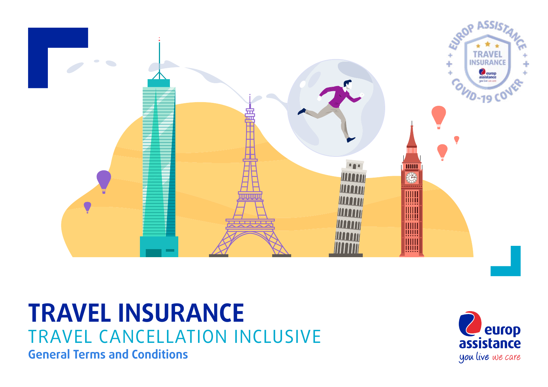

# **TRAVEL INSURANCE** TRAVEL CANCELLATION INCLUSIVE **General Terms and Conditions**

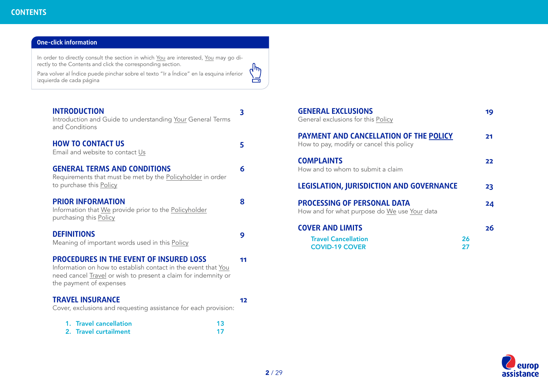### <span id="page-1-0"></span>**One-click information**

In order to directly consult the section in which <u>[You](#page-8-0)</u> are interested, <u>You</u> may go directly to the Contents and click the corresponding section.

Para volver al Índice puede pinchar sobre el texto "Ir a Índice" en la esquina inferior izquierda de cada página

| <b>INTRODUCTION</b><br>Introduction and Guide to understanding Your General Terms<br>and Conditions                                                                                                          | 3  |
|--------------------------------------------------------------------------------------------------------------------------------------------------------------------------------------------------------------|----|
| <b>HOW TO CONTACT US</b><br>Email and website to contact Us                                                                                                                                                  | 5  |
| <b>GENERAL TERMS AND CONDITIONS</b><br>Requirements that must be met by the Policyholder in order<br>to purchase this Policy                                                                                 | 6  |
| <b>PRIOR INFORMATION</b><br>Information that We provide prior to the Policyholder<br>purchasing this Policy                                                                                                  | 8  |
| <b>DEFINITIONS</b><br>Meaning of important words used in this Policy                                                                                                                                         | 9  |
| <b>PROCEDURES IN THE EVENT OF INSURED LOSS</b><br>Information on how to establish contact in the event that You<br>need cancel Travel or wish to present a claim for indemnity or<br>the payment of expenses | 11 |
| <b>TRAVEL INSURANCE</b><br>Cover, exclusions and requesting assistance for each provision:                                                                                                                   | 12 |
| 1. Travel cancellation<br>13<br>2. Travel curtailment<br>17                                                                                                                                                  |    |

| <b>GENERAL EXCLUSIONS</b><br>General exclusions for this Policy                           |    | 19 |
|-------------------------------------------------------------------------------------------|----|----|
| <b>PAYMENT AND CANCELLATION OF THE POLICY</b><br>How to pay, modify or cancel this policy |    | 21 |
| <b>COMPLAINTS</b><br>How and to whom to submit a claim                                    |    | 22 |
| <b>LEGISLATION, JURISDICTION AND GOVERNANCE</b>                                           |    | 23 |
| <b>PROCESSING OF PERSONAL DATA</b><br>How and for what purpose do We use Your data        |    | 24 |
| <b>COVER AND LIMITS</b>                                                                   |    | 26 |
| <b>Travel Cancellation</b>                                                                | 26 |    |



 $\begin{pmatrix} 1 \\ -1 \\ 0 \\ 0 \end{pmatrix}$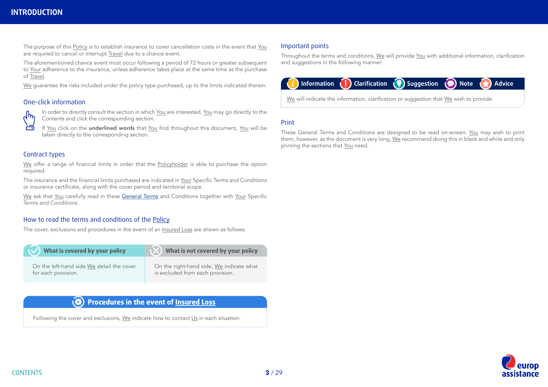# <span id="page-2-0"></span>**INTRODUCTION**

The purpose of this [Policy](#page-9-0) is to establish insurance to cover cancellation costs in the event that [You](#page-8-0) are required to cancel or interrupt [Travel](#page-9-0) due to a chance event.

The aforementioned chance event must occur following a period of 72 hours or greater subsequent to [Your](#page-8-0) adherence to the insurance, unless adherence takes place at the same time as the purchase of [Travel](#page-9-0).

[We](#page-8-0) guarantee the risks included under the policy type purchased, up to the limits indicated therein.

### One-click information



In order to directly consult the section in which [You](#page-8-0) are interested, [You](#page-8-0) may go directly to the Contents and click the corresponding section.

If [You](#page-8-0) click on the underlined words that [You](#page-8-0) find throughout this document, You will be taken directly to the corresponding section.

### Contract types

[We](#page-8-0) offer a range of financial limits in order that the [Policyholder](#page-9-0) is able to purchase the option required.

The insurance and the financial limits purchased are indicated in [Your](#page-8-0) Specific Terms and Conditions or insurance certificate, along with the cover period and territorial scope.

[We](#page-8-0) ask that [You](#page-8-0) carefully read in these [General Terms](#page-5-0) and Conditions together with [Your](#page-8-0) Specific Terms and Conditions.

### How to read the terms and conditions of the [Policy](#page-9-0)

The cover, exclusions and procedures in the event of an [Insured Loss](#page-8-0) are shown as follows:

| What is covered by your policy            | What is not covered by your policy       |
|-------------------------------------------|------------------------------------------|
| On the left-hand side We detail the cover | On the right-hand side, We indicate what |
| for each provision.                       | is excluded from each provision.         |

#### $\left( 3 \right)$ **Procedures in the event of [Insured Loss](#page-8-0)**

Following the cover and exclusions, [We](#page-8-0) indicate how to contact [Us](#page-8-0) in each situation.

### Important points

Throughout the terms and conditions, [We](#page-8-0) will provide [You](#page-8-0) with additional information, clarification and suggestions in the following manner:



### Print

These General Terms and Conditions are designed to be read on-screen. [You](#page-8-0) may wish to print them, however, as the document is very long, [We](#page-8-0) recommend doing this in black and white and only printing the sections that [You](#page-8-0) need.

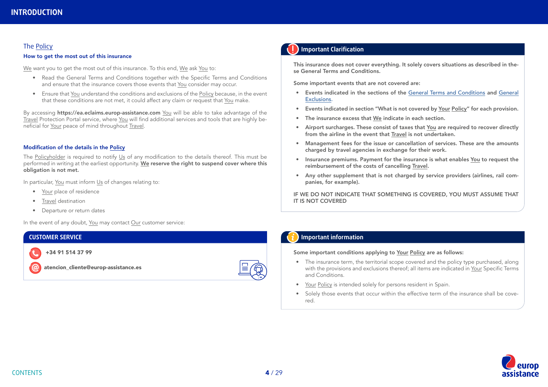### The Policy

#### How to get the most out of this insurance

[We](#page-8-0) want you to get the most out of this insurance. To this end, We ask [You](#page-8-0) to:

- Read the General Terms and Conditions together with the Specific Terms and Conditions and ensure that the insurance covers those events that [You](#page-8-0) consider may occur.
- Ensure that [You](#page-8-0) understand the conditions and exclusions of the [Policy](#page-9-0) because, in the event that these conditions are not met, it could affect any claim or request that [You](#page-8-0) make.

By accessing https://ea.eclaims.europ-assistance.com [You](#page-8-0) will be able to take advantage of the [Travel](#page-9-0) Protection Portal service, where [You](#page-8-0) will find additional services and tools that are highly beneficial for [Your](#page-8-0) peace of mind throughout [Travel.](#page-9-0)

#### Modification of the details in the [Policy](#page-9-0)

The [Policyholder](#page-9-0) is required to notify [Us](#page-8-0) of any modification to the details thereof. This must be performed in writing at the earliest opportunity. [We](#page-8-0) reserve the right to suspend cover where this obligation is not met.

In particular, [You](#page-8-0) must inform [Us](#page-8-0) of changes relating to:

- [Your](#page-8-0) place of residence
- [Travel](#page-9-0) destination
- Departure or return dates

In the event of any doubt, [You](#page-8-0) may contact [Our](#page-8-0) customer service:

#### **CUSTOMER SERVICE**

+34 91 514 37 99

atencion\_cliente@europ-assistance.es



### **Important Clarification**

This insurance does not cover everything. It solely covers situations as described in these General Terms and Conditions.

Some important events that are not covered are:

- Events indicated in the sections of the [General Terms and Conditions](#page-5-0) and [General](#page-18-0)  [Exclusions.](#page-18-0)
- Events indicated in section "What is not covered by [Your](#page-8-0) [Policy](#page-9-0)" for each provision.
- The insurance excess that [We](#page-8-0) indicate in each section.
- Airport surcharges. These consist of taxes that [You](#page-8-0) are required to recover directly from the airline in the event that [Travel](#page-9-0) is not undertaken.
- Management fees for the issue or cancellation of services. These are the amounts charged by travel agencies in exchange for their work.
- Insurance premiums. Payment for the insurance is what enables [You](#page-8-0) to request the reimbursement of the costs of cancelling [Travel.](#page-9-0)
- Any other supplement that is not charged by service providers (airlines, rail companies, for example).

IF WE DO NOT INDICATE THAT SOMETHING IS COVERED, YOU MUST ASSUME THAT IT IS NOT COVERED

### **Important information**

#### Some important conditions applying to [Your](#page-8-0) [Policy](#page-9-0) are as follows:

- The insurance term, the territorial scope covered and the policy type purchased, along with the provisions and exclusions thereof; all items are indicated in [Your](#page-8-0) Specific Terms and Conditions.
- [Your](#page-8-0) [Policy](#page-9-0) is intended solely for persons resident in Spain.
- Solely those events that occur within the effective term of the insurance shall be covered.

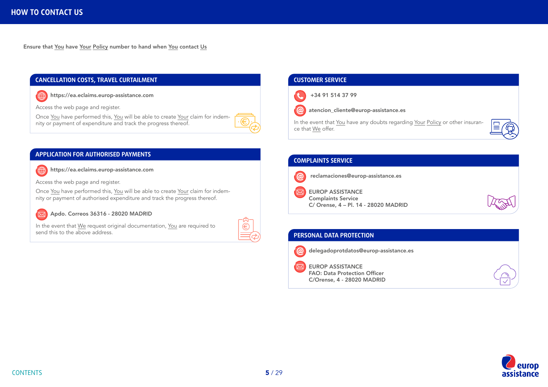$\bigoplus$ 

<span id="page-4-0"></span>Ensure that [You](#page-8-0) have [Your](#page-8-0) [Policy](#page-9-0) number to hand when [You](#page-8-0) contact [Us](#page-8-0)

### **CANCELLATION COSTS, TRAVEL CURTAILMENT**

 $\bigoplus$ https://ea.eclaims.europ-assistance.com

Access the web page and register.

Once [You](#page-8-0) have performed this, [You](#page-8-0) will be able to create [Your](#page-8-0) claim for indemnity or payment of expenditure and track the progress thereof.

### **APPLICATION FOR AUTHORISED PAYMENTS**

https://ea.eclaims.europ-assistance.com

Access the web page and register.

Once [You](#page-8-0) have performed this, [You](#page-8-0) will be able to create [Your](#page-8-0) claim for indemnity or payment of authorised expenditure and track the progress thereof.

### Apdo. Correos 36316 - 28020 MADRID

In the event that [We](#page-8-0) request original documentation, [You](#page-8-0) are required to send this to the above address.

| ٠ |  |
|---|--|
|   |  |

### **CUSTOMER SERVICE**



atencion\_cliente@europ-assistance.es

In the event that [You](#page-8-0) have any doubts regarding [Your](#page-8-0) [Policy](#page-9-0) or other insurance that [We](#page-8-0) offer.

### **COMPLAINTS SERVICE**



 $\omega$ 

EUROP ASSISTANCE

Complaints Service C/ Orense, 4 – Pl. 14 - 28020 MADRID

### **PERSONAL DATA PROTECTION** delegadoprotdatos@europ-assistance.es  $\omega$

EUROP ASSISTANCE FAO: Data Protection Officer C/Orense, 4 - 28020 MADRID



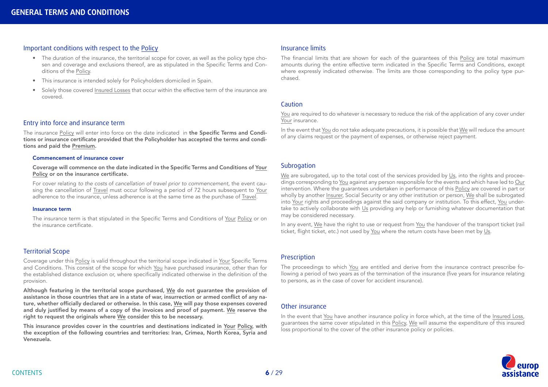### <span id="page-5-0"></span>Important conditions with respect to the [Policy](#page-9-0)

- The duration of the insurance, the territorial scope for cover, as well as the policy type chosen and coverage and exclusions thereof, are as stipulated in the Specific Terms and Conditions of the [Policy](#page-9-0).
- This insurance is intended solely for Policyholders domiciled in Spain.
- Solely those covered [Insured Losses](#page-8-0) that occur within the effective term of the insurance are covered.

#### Entry into force and insurance term

The insurance [Policy](#page-9-0) will enter into force on the date indicated in the Specific Terms and Conditions or insurance certificate provided that the Policyholder has accepted the terms and conditions and paid the [Premium.](#page-9-0)

#### Commencement of insurance cover

Coverage will commence on the date indicated in the Specific Terms and Conditions of [Your](#page-8-0) [Policy](#page-9-0) or on the insurance certificate.

For cover relating *to the costs* of *cancellation of travel prior to commencement,* the event causing the cancellation of [Travel](#page-9-0) must occur following a period of 72 hours subsequent to [Your](#page-8-0) adherence to the insurance, unless adherence is at the same time as the purchase of [Travel.](#page-9-0)

#### Insurance term

The insurance term is that stipulated in the Specific Terms and Conditions of [Your](#page-8-0) [Policy](#page-9-0) or on the insurance certificate.

#### Territorial Scope

Coverage under this [Policy](#page-9-0) is valid throughout the territorial scope indicated in [Your](#page-8-0) Specific Terms and Conditions. This consist of the scope for which [You](#page-8-0) have purchased insurance, other than for the established distance exclusion or, where specifically indicated otherwise in the definition of the provision.

Although featuring in the territorial scope purchased, [We](#page-8-0) do not guarantee the provision of assistance in those countries that are in a state of war, insurrection or armed conflict of any nature, whether officially declared or otherwise. In this case, [We](#page-8-0) will pay those expenses covered and duly justified by means of a copy of the invoices and proof of payment. [We](#page-8-0) reserve the right to request the originals where [We](#page-8-0) consider this to be necessary.

This insurance provides cover in the countries and destinations indicated in [Your](#page-8-0) [Policy](#page-9-0), with the exception of the following countries and territories: Iran, Crimea, North Korea, Syria and Venezuela.

#### Insurance limits

The financial limits that are shown for each of the guarantees of this Policy are total maximum amounts during the entire effective term indicated in the Specific Terms and Conditions, except where expressly indicated otherwise. The limits are those corresponding to the policy type purchased.

#### **Caution**

You are required to do whatever is necessary to reduce the risk of the application of any cover under Your insurance.

In the event that You do not take adequate precautions, it is possible that We will reduce the amount of any claims request or the payment of expenses, or otherwise reject payment.

#### Subrogation

We are subrogated, up to the total cost of the services provided by Us, into the rights and proceedings corresponding to You against any person responsible for the events and which have led to Our intervention. Where the guarantees undertaken in performance of this Policy are covered in part or wholly by another Insurer, Social Security or any other institution or person, We shall be subrogated into Your rights and proceedings against the said company or institution. To this effect, You undertake to actively collaborate with Us providing any help or furnishing whatever documentation that may be considered necessary.

In any event, We have the right to use or request from You the handover of the transport ticket (rail ticket, flight ticket, etc.) not used by You where the return costs have been met by Us.

#### **Prescription**

The proceedings to which You are entitled and derive from the insurance contract prescribe following a period of two years as of the termination of the insurance (five years for insurance relating to persons, as in the case of cover for accident insurance).

#### Other insurance

In the event that You have another insurance policy in force which, at the time of the Insured Loss, guarantees the same cover stipulated in this Policy, We will assume the expenditure of this insured loss proportional to the cover of the other insurance policy or policies.

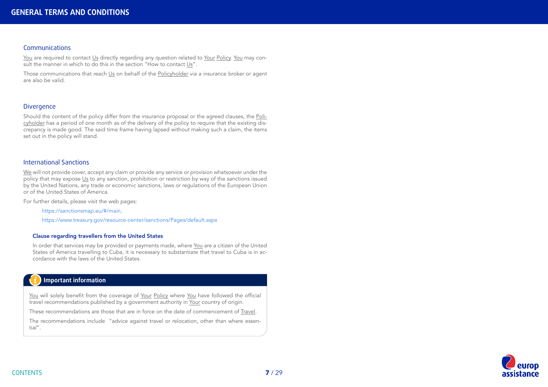#### Communications

[You](#page-8-0) are required to contact [Us](#page-8-0) directly regarding any question related to [Your](#page-8-0) [Policy](#page-9-0). [You](#page-8-0) may consult the manner in which to do this in the section "How to contact [Us](#page-8-0)".

Those communications that reach [Us](#page-8-0) on behalf of the [Policyholder](#page-9-0) via a insurance broker or agent are also be valid.

### **Divergence**

Should the content of the policy differ from the insurance proposal or the agreed clauses, the [Poli](#page-9-0)[cyholder](#page-9-0) has a period of one month as of the delivery of the policy to require that the existing discrepancy is made good. The said time frame having lapsed without making such a claim, the items set out in the policy will stand.

#### International Sanctions

[We](#page-8-0) will not provide cover, accept any claim or provide any service or provision whatsoever under the policy that may expose [Us](#page-8-0) to any sanction, prohibition or restriction by way of the sanctions issued by the United Nations, any trade or economic sanctions, laws or regulations of the European Union or of the United States of America.

For further details, please visit the web pages:

https://sanctionsmap.eu/#/main,

https://www.treasury.gov/resource-center/sanctions/Pages/default.aspx

#### Clause regarding travellers from the United States

In order that services may be provided or payments made, where [You](#page-8-0) are a citizen of the United States of America travelling to Cuba, it is necessary to substantiate that travel to Cuba is in accordance with the laws of the United States.

### **Important information**

[You](#page-8-0) will solely benefit from the coverage of [Your](#page-8-0) [Policy](#page-9-0) where [You](#page-8-0) have followed the official travel recommendations published by a government authority in [Your](#page-8-0) country of origin.

These recommendations are those that are in force on the date of commencement of [Travel](#page-9-0).

The recommendations include "advice against travel or relocation, other than where essential".

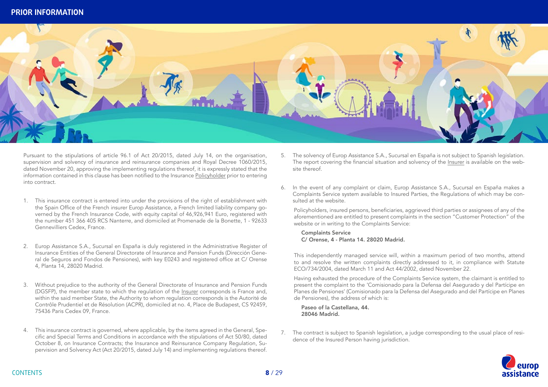<span id="page-7-0"></span>

Pursuant to the stipulations of article 96.1 of Act 20/2015, dated July 14, on the organisation, supervision and solvency of insurance and reinsurance companies and Royal Decree 1060/2015, dated November 20, approving the implementing regulations thereof, it is expressly stated that the information contained in this clause has been notified to the Insurance [Policyholder](#page-9-0) prior to entering into contract.

- 1. This insurance contract is entered into under the provisions of the right of establishment with the Spain Office of the French insurer Europ Assistance, a French limited liability company governed by the French Insurance Code, with equity capital of 46,926,941 Euro, registered with the number 451 366 405 RCS Nanterre, and domiciled at Promenade de la Bonette, 1 - 92633 Gennevilliers Cedex, France.
- 2. Europ Assistance S.A., Sucursal en España is duly registered in the Administrative Register of Insurance Entities of the General Directorate of Insurance and Pension Funds (Dirección General de Seguros and Fondos de Pensiones), with key E0243 and registered office at C/ Orense 4, Planta 14, 28020 Madrid.
- 3. Without prejudice to the authority of the General Directorate of Insurance and Pension Funds (DGSFP), the member state to which the regulation of the [Insurer](#page-8-0) corresponds is France and, within the said member State, the Authority to whom regulation corresponds is the Autorité de Contrôle Prudentiel et de Résolution (ACPR), domiciled at no. 4, Place de Budapest, CS 92459, 75436 Paris Cedex 09, France.
- 4. This insurance contract is governed, where applicable, by the items agreed in the General, Specific and Special Terms and Conditions in accordance with the stipulations of Act 50/80, dated October 8, on Insurance Contracts; the Insurance and Reinsurance Company Regulation, Supervision and Solvency Act (Act 20/2015, dated July 14) and implementing regulations thereof.
- 5. The solvency of Europ Assistance S.A., Sucursal en España is not subject to Spanish legislation. The report covering the financial situation and solvency of the [Insurer](#page-8-0) is available on the website thereof.
- 6. In the event of any complaint or claim, Europ Assistance S.A., Sucursal en España makes a Complaints Service system available to Insured Parties, the Regulations of which may be consulted at the website.

Policyholders, insured persons, beneficiaries, aggrieved third parties or assignees of any of the aforementioned are entitled to present complaints in the section "Customer Protection" of the website or in writing to the Complaints Service:

Complaints Service C/ Orense, 4 - Planta 14. 28020 Madrid.

This independently managed service will, within a maximum period of two months, attend to and resolve the written complaints directly addressed to it, in compliance with Statute ECO/734/2004, dated March 11 and Act 44/2002, dated November 22.

Having exhausted the procedure of the Complaints Service system, the claimant is entitled to present the complaint to the 'Comisionado para la Defensa del Asegurado y del Partícipe en Planes de Pensiones' (Comisionado para la Defensa del Asegurado and del Partícipe en Planes de Pensiones), the address of which is:

Paseo of la Castellana, 44. 28046 Madrid.

7. The contract is subject to Spanish legislation, a judge corresponding to the usual place of residence of the Insured Person having jurisdiction.

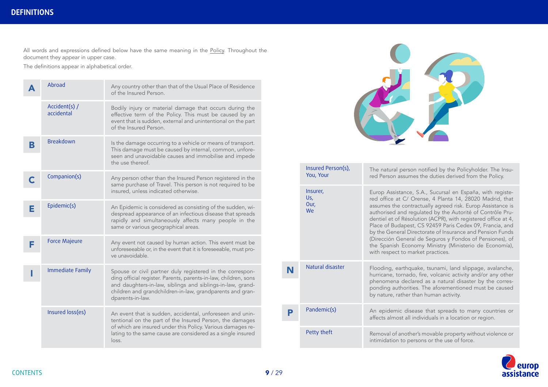<span id="page-8-0"></span>All words and expressions defined below have the same meaning in the <u>[Policy](#page-9-0)</u>. Throughout the document they appear in upper case.

The definitions appear in alphabetical order.

|   | Abroad                      | Any country other than that of the Usual Place of Residence<br>of the Insured Person.                                                                                                                                                                                       |
|---|-----------------------------|-----------------------------------------------------------------------------------------------------------------------------------------------------------------------------------------------------------------------------------------------------------------------------|
|   | Accident(s) /<br>accidental | Bodily injury or material damage that occurs during the<br>effective term of the Policy. This must be caused by an<br>event that is sudden, external and unintentional on the part<br>of the Insured Person.                                                                |
| В | <b>Breakdown</b>            | Is the damage occurring to a vehicle or means of transport.<br>This damage must be caused by internal, common, unfore-<br>seen and unavoidable causes and immobilise and impede<br>the use thereof.                                                                         |
|   | Companion(s)                | Any person other than the Insured Person registered in the<br>same purchase of Travel. This person is not required to be<br>insured, unless indicated otherwise.                                                                                                            |
| Е | Epidemic(s)                 | An Epidemic is considered as consisting of the sudden, wi-<br>despread appearance of an infectious disease that spreads<br>rapidly and simultaneously affects many people in the<br>same or various geographical areas.                                                     |
| F | <b>Force Majeure</b>        | Any event not caused by human action. This event must be<br>unforeseeable or, in the event that it is foreseeable, must pro-<br>ve unavoidable.                                                                                                                             |
|   | <b>Immediate Family</b>     | Spouse or civil partner duly registered in the correspon-<br>ding official register. Parents, parents-in-law, children, sons<br>and daughters-in-law, siblings and siblings-in-law, grand-<br>children and grandchildren-in-law, grandparents and gran-<br>dparents-in-law. |
|   | Insured loss(es)            | An event that is sudden, accidental, unforeseen and unin-<br>tentional on the part of the Insured Person, the damages<br>of which are insured under this Policy. Various damages re-<br>lating to the same cause are considered as a single insured<br>loss.                |



|   | Insured Person(s),<br>You, Your | The natural person notified by the Policyholder. The Insu-<br>red Person assumes the duties derived from the Policy.                                                                                                                                                                                                                                                                                                                                                                                                                                                                                  |  |  |
|---|---------------------------------|-------------------------------------------------------------------------------------------------------------------------------------------------------------------------------------------------------------------------------------------------------------------------------------------------------------------------------------------------------------------------------------------------------------------------------------------------------------------------------------------------------------------------------------------------------------------------------------------------------|--|--|
|   | Insurer,<br>Us,<br>Our,<br>We   | Europ Assistance, S.A., Sucursal en España, with registe-<br>red office at C/ Orense, 4 Planta 14, 28020 Madrid, that<br>assumes the contractually agreed risk. Europ Assistance is<br>authorised and regulated by the Autorité of Contrôle Pru-<br>dentiel et of Résolution (ACPR), with registered office at 4,<br>Place of Budapest, CS 92459 Paris Cedex 09, Francia, and<br>by the General Directorate of Insurance and Pension Funds<br>(Dirección General de Seguros y Fondos of Pensiones), of<br>the Spanish Economy Ministry (Ministerio de Economía),<br>with respect to market practices. |  |  |
| N | Natural disaster                | Flooding, earthquake, tsunami, land slippage, avalanche,<br>hurricane, tornado, fire, volcanic activity and/or any other<br>phenomena declared as a natural disaster by the corres-<br>ponding authorities. The aforementioned must be caused<br>by nature, rather than human activity.                                                                                                                                                                                                                                                                                                               |  |  |
|   | Pandemic(s)                     | An epidemic disease that spreads to many countries or<br>affects almost all individuals in a location or region.                                                                                                                                                                                                                                                                                                                                                                                                                                                                                      |  |  |
|   | Petty theft                     | Removal of another's movable property without violence or<br>intimidation to persons or the use of force.                                                                                                                                                                                                                                                                                                                                                                                                                                                                                             |  |  |

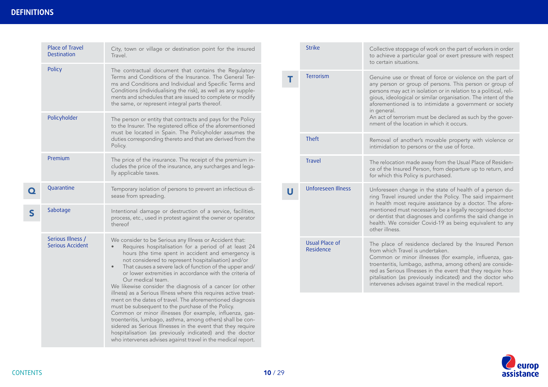<span id="page-9-0"></span>

|              | Place of Travel<br>Destination                                                                                                                                                                                                                                                                                                                                                                                                                                                                        | City, town or village or destination point for the insured<br>Travel.                                                                                                                                                                                                                                                                                                                                                                                         |                | <b>Strike</b>                      | Collective stoppage of work on the part of workers in order<br>to achieve a particular goal or exert pressure with respect<br>to certain situations.                                                                                                                                                                                                                                                       |
|--------------|-------------------------------------------------------------------------------------------------------------------------------------------------------------------------------------------------------------------------------------------------------------------------------------------------------------------------------------------------------------------------------------------------------------------------------------------------------------------------------------------------------|---------------------------------------------------------------------------------------------------------------------------------------------------------------------------------------------------------------------------------------------------------------------------------------------------------------------------------------------------------------------------------------------------------------------------------------------------------------|----------------|------------------------------------|------------------------------------------------------------------------------------------------------------------------------------------------------------------------------------------------------------------------------------------------------------------------------------------------------------------------------------------------------------------------------------------------------------|
|              | Policy                                                                                                                                                                                                                                                                                                                                                                                                                                                                                                | The contractual document that contains the Regulatory<br>Terms and Conditions of the Insurance. The General Ter-<br>ms and Conditions and Individual and Specific Terms and<br>Conditions (individualising the risk), as well as any supple-<br>ments and schedules that are issued to complete or modify<br>the same, or represent integral parts thereof.                                                                                                   | Т              | Terrorism                          | Genuine use or threat of force or violence on the part of<br>any person or group of persons. This person or group of<br>persons may act in isolation or in relation to a political, reli-<br>gious, ideological or similar organisation. The intent of the<br>aforementioned is to intimidate a government or society<br>in general.                                                                       |
|              | Policyholder                                                                                                                                                                                                                                                                                                                                                                                                                                                                                          | The person or entity that contracts and pays for the Policy<br>to the Insurer. The registered office of the aforementioned<br>must be located in Spain. The Policyholder assumes the                                                                                                                                                                                                                                                                          |                |                                    | An act of terrorism must be declared as such by the gover-<br>nment of the location in which it occurs.                                                                                                                                                                                                                                                                                                    |
|              |                                                                                                                                                                                                                                                                                                                                                                                                                                                                                                       | duties corresponding thereto and that are derived from the<br>Policy.                                                                                                                                                                                                                                                                                                                                                                                         |                | Theft                              | Removal of another's movable property with violence or<br>intimidation to persons or the use of force.                                                                                                                                                                                                                                                                                                     |
|              | Premium                                                                                                                                                                                                                                                                                                                                                                                                                                                                                               | The price of the insurance. The receipt of the premium in-<br>cludes the price of the insurance, any surcharges and lega-<br>lly applicable taxes.                                                                                                                                                                                                                                                                                                            |                | <b>Travel</b>                      | The relocation made away from the Usual Place of Residen-<br>ce of the Insured Person, from departure up to return, and<br>for which this Policy is purchased.                                                                                                                                                                                                                                             |
| $\mathbf Q$  | Quarantine                                                                                                                                                                                                                                                                                                                                                                                                                                                                                            | Temporary isolation of persons to prevent an infectious di-<br>sease from spreading.                                                                                                                                                                                                                                                                                                                                                                          | $\overline{U}$ | <b>Unforeseen Illness</b>          | Unforeseen change in the state of health of a person du-<br>ring Travel insured under the Policy. The said impairment<br>in health most require assistance by a doctor. The afore-                                                                                                                                                                                                                         |
| $\mathsf{S}$ | Sabotage                                                                                                                                                                                                                                                                                                                                                                                                                                                                                              | Intentional damage or destruction of a service, facilities,<br>process, etc., used in protest against the owner or operator<br>thereof                                                                                                                                                                                                                                                                                                                        |                |                                    | mentioned must necessarily be a legally recognised doctor<br>or dentist that diagnoses and confirms the said change in<br>health. We consider Covid-19 as being equivalent to any<br>other illness.                                                                                                                                                                                                        |
|              | Serious Illness /<br><b>Serious Accident</b>                                                                                                                                                                                                                                                                                                                                                                                                                                                          | We consider to be Serious any Illness or Accident that:<br>Requires hospitalisation for a period of at least 24<br>$\bullet$<br>hours (the time spent in accident and emergency is<br>not considered to represent hospitalisation) and/or<br>That causes a severe lack of function of the upper and/<br>$\bullet$<br>or lower extremities in accordance with the criteria of<br>Our medical team.<br>We likewise consider the diagnosis of a cancer (or other |                | <b>Usual Place of</b><br>Residence | The place of residence declared by the Insured Person<br>from which Travel is undertaken.<br>Common or minor illnesses (for example, influenza, gas-<br>troenteritis, lumbago, asthma, among others) are conside-<br>red as Serious Illnesses in the event that they require hos-<br>pitalisation (as previously indicated) and the doctor who<br>intervenes advises against travel in the medical report. |
|              | illness) as a Serious Illness where this requires active treat-<br>ment on the dates of travel. The aforementioned diagnosis<br>must be subsequent to the purchase of the Policy.<br>Common or minor illnesses (for example, influenza, gas-<br>troenteritis, lumbago, asthma, among others) shall be con-<br>sidered as Serious Illnesses in the event that they require<br>hospitalisation (as previously indicated) and the doctor<br>who intervenes advises against travel in the medical report. |                                                                                                                                                                                                                                                                                                                                                                                                                                                               |                |                                    |                                                                                                                                                                                                                                                                                                                                                                                                            |

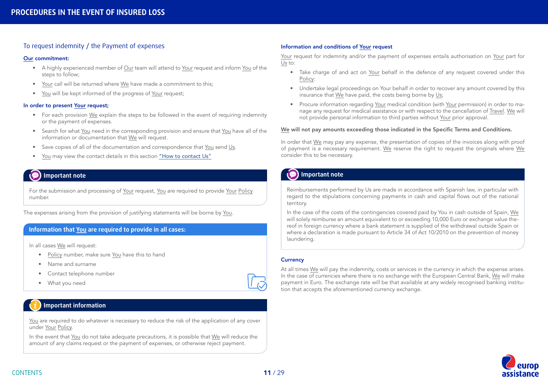### <span id="page-10-0"></span>To request indemnity / the Payment of expenses

#### [Our](#page-8-0) commitment:

- A highly experienced member of [Our](#page-8-0) team will attend to [Your](#page-8-0) request and inform [You](#page-8-0) of the steps to follow;
- [Your](#page-8-0) call will be returned where [We](#page-8-0) have made a commitment to this;
- [You](#page-8-0) will be kept informed of the progress of [Your](#page-8-0) request;

#### In order to present [Your](#page-8-0) request;

- For each provision [We](#page-8-0) explain the steps to be followed in the event of requiring indemnity or the payment of expenses.
- Search for what [You](#page-8-0) need in the corresponding provision and ensure that [You](#page-8-0) have all of the information or documentation that [We](#page-8-0) will request.
- Save copies of all of the documentation and correspondence that [You](#page-8-0) send [Us.](#page-8-0)
- [You](#page-8-0) may view the contact details in this section "How to contact Us"

### **Important note**

For the submission and processing of [Your](#page-8-0) request, [You](#page-8-0) are required to provide [Your](#page-8-0) [Policy](#page-9-0) number.

The expenses arising from the provision of justifying statements will be borne by [You](#page-8-0).

#### **Information that [You](#page-8-0) are required to provide in all cases:**

In all cases [We](#page-8-0) will request:

- [Policy](#page-9-0) number, make sure [You](#page-8-0) have this to hand
- Name and surname
- Contact telephone number
- What you need

### **Important information**

[You](#page-8-0) are required to do whatever is necessary to reduce the risk of the application of any cover under [Your](#page-8-0) [Policy.](#page-9-0)

In the event that [You](#page-8-0) do not take adequate precautions, it is possible that [We](#page-8-0) will reduce the amount of any claims request or the payment of expenses, or otherwise reject payment.

#### Information and conditions of [Your](#page-8-0) request

[Your](#page-8-0) request for indemnity and/or the payment of expenses entails authorisation on [Your](#page-8-0) part for [Us](#page-8-0) to:

- Take charge of and act on [Your](#page-8-0) behalf in the defence of any request covered under this [Policy](#page-9-0):
- Undertake legal proceedings on [Your](#page-8-0) behalf in order to recover any amount covered by this insurance that [We](#page-8-0) have paid, the costs being borne by [Us;](#page-8-0)
- Procure information regarding [Your](#page-8-0) medical condition (with [Your](#page-8-0) permission) in order to manage any request for medical assistance or with respect to the cancellation of [Travel](#page-9-0). [We](#page-8-0) will not provide personal information to third parties without [Your](#page-8-0) prior approval.

#### [We](#page-8-0) will not pay amounts exceeding those indicated in the Specific Terms and Conditions.

In order that [We](#page-8-0) may pay any expense, the presentation of copies of the invoices along with proof of payment is a necessary requirement. [We](#page-8-0) reserve the right to request the originals where [We](#page-8-0) consider this to be necessary.

## **Important note**

Reimbursements performed by Us are made in accordance with Spanish law, in particular with regard to the stipulations concerning payments in cash and capital flows out of the national territory.

In the case of the costs of the contingencies covered paid by You in cash outside of Spain, [We](#page-8-0) will solely reimburse an amount equivalent to or exceeding 10,000 Euro or exchange value thereof in foreign currency where a bank statement is supplied of the withdrawal outside Spain or where a declaration is made pursuant to Article 34 of Act 10/2010 on the prevention of money laundering.

#### **Currency**

At all times [We](#page-8-0) will pay the indemnity, costs or services in the currency in which the expense arises. In the case of currencies where there is no exchange with the European Central Bank, [We](#page-8-0) will make payment in Euro. The exchange rate will be that available at any widely recognised banking institution that accepts the aforementioned currency exchange.

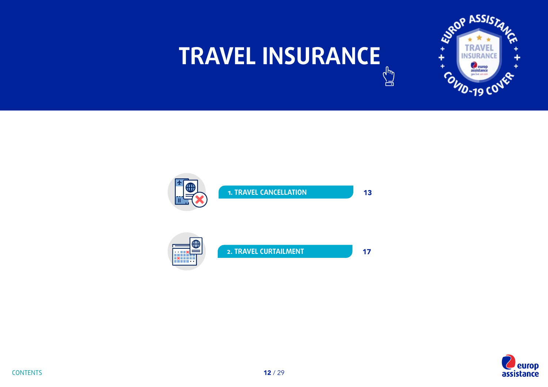# <span id="page-11-0"></span>**TRAVEL INSURANCE**  $\begin{pmatrix} \frac{1}{2} & \frac{1}{2} \\ \frac{1}{2} & \frac{1}{2} \end{pmatrix}$





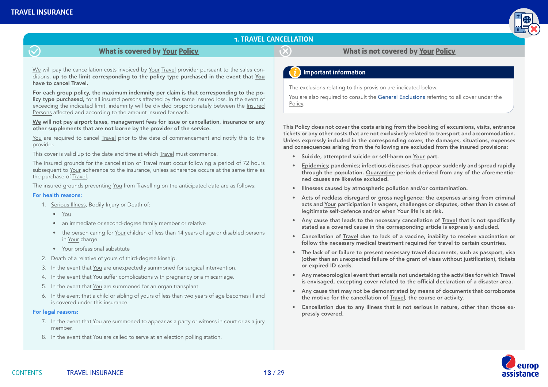

### **1. TRAVEL CANCELLATION**

### **What is covered by [Your](#page-8-0) [Policy](#page-9-0) What is not covered by [Your](#page-8-0) [Policy](#page-9-0)**

<span id="page-12-0"></span>[We](#page-8-0) will pay the cancellation costs invoiced by [Your](#page-8-0) [Travel](#page-9-0) provider pursuant to the sales conditions, up to the limit corresponding to the policy type purchased in the event that [You](#page-8-0) have to cancel [Travel](#page-9-0).

For each group policy, the maximum indemnity per claim is that corresponding to the policy type purchased, for all insured persons affected by the same insured loss. In the event of exceeding the indicated limit, indemnity will be divided proportionately between the [Insured](#page-8-0)  [Persons](#page-8-0) affected and according to the amount insured for each.

[We](#page-8-0) will not pay airport taxes, management fees for issue or cancellation, insurance or any other supplements that are not borne by the provider of the service.

[You](#page-8-0) are required to cancel **[Travel](#page-9-0)** prior to the date of commencement and notify this to the provider.

This cover is valid up to the date and time at which [Travel](#page-9-0) must commence.

The insured grounds for the cancellation of [Travel](#page-9-0) must occur following a period of 72 hours subsequent to [Your](#page-8-0) adherence to the insurance, unless adherence occura at the same time as the purchase of [Travel](#page-9-0).

The insured grounds preventing [You](#page-8-0) from Travelling on the anticipated date are as follows:

#### For health reasons:

- 1. [Serious Illness,](#page-9-0) Bodily Injury or Death of:
	- [You](#page-8-0)
	- an immediate or second-degree family member or relative
	- the person caring for [Your](#page-8-0) children of less than 14 years of age or disabled persons in [Your](#page-8-0) charge
	- [Your](#page-8-0) professional substitute
- 2. Death of a relative of yours of third-degree kinship.
- 3. In the event that [You](#page-8-0) are unexpectedly summoned for surgical intervention.
- 4. In the event that [You](#page-8-0) suffer complications with pregnancy or a miscarriage.
- 5. In the event that [You](#page-8-0) are summoned for an organ transplant.
- 6. In the event that a child or sibling of yours of less than two years of age becomes ill and is covered under this insurance.

#### For legal reasons:

- 7. In the event that [You](#page-8-0) are summoned to appear as a party or witness in court or as a jury member.
- 8. In the event that [You](#page-8-0) are called to serve at an election polling station.

### **Important information**

The exclusions relating to this provision are indicated below.

[You](#page-8-0) are also required to consult the [General Exclusions](#page-18-0) referring to all cover under the [Policy](#page-9-0).

This [Policy](#page-9-0) does not cover the costs arising from the booking of excursions, visits, entrance tickets or any other costs that are not exclusively related to transport and accommodation. Unless expressly included in the corresponding cover, the damages, situations, expenses and consequences arising from the following are excluded from the insured provisions:

- Suicide, attempted suicide or self-harm on [Your](#page-8-0) part.
- [Epidemics;](#page-8-0) pandemics; infectious diseases that appear suddenly and spread rapidly through the population. [Quarantine](#page-9-0) periods derived from any of the aforementioned causes are likewise excluded.
- Illnesses caused by atmospheric pollution and/or contamination.
- Acts of reckless disregard or gross negligence; the expenses arising from criminal acts and [Your](#page-8-0) participation in wagers, challenges or disputes, other than in cases of legitimate self-defence and/or when [Your](#page-8-0) life is at risk.
- Any cause that leads to the necessary cancellation of [Travel](#page-9-0) that is not specifically stated as a covered cause in the corresponding article is expressly excluded.
- Cancellation of [Travel](#page-9-0) due to lack of a vaccine, inability to receive vaccination or follow the necessary medical treatment required for travel to certain countries.
- The lack of or failure to present necessary travel documents, such as passport, visa (other than an unexpected failure of the grant of visas without justification), tickets or expired ID cards.
- Any meteorological event that entails not undertaking the activities for which [Travel](#page-9-0) is envisaged, excepting cover related to the official declaration of a disaster area.
- Any cause that may not be demonstrated by means of documents that corroborate the motive for the cancellation of [Travel](#page-9-0), the course or activity.
- Cancellation due to any Illness that is not serious in nature, other than those expressly covered.

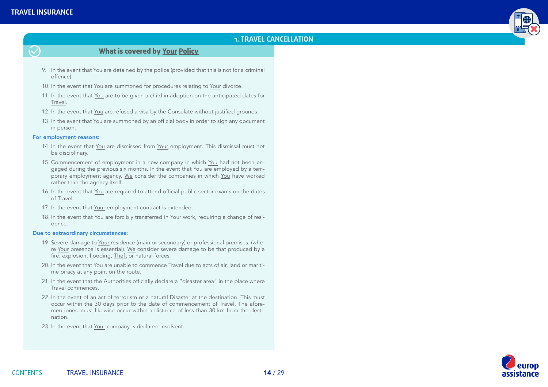$\tilde{\bm{\nabla}}$ 



### **1. TRAVEL CANCELLATION**

### **What is covered by [Your](#page-8-0) [Policy](#page-9-0)**

- 9. In the event that [You](#page-8-0) are detained by the police (provided that this is not for a criminal offence).
- 10. In the event that [You](#page-8-0) are summoned for procedures relating to [Your](#page-8-0) divorce.
- 11. In the event that [You](#page-8-0) are to be given a child in adoption on the anticipated dates for **[Travel](#page-9-0)**
- 12. In the event that [You](#page-8-0) are refused a visa by the Consulate without justified grounds.
- 13. In the event that [You](#page-8-0) are summoned by an official body in order to sign any document in person.

#### For employment reasons:

- 14. In the event that [You](#page-8-0) are dismissed from [Your](#page-8-0) employment. This dismissal must not be disciplinary.
- 15. Commencement of employment in a new company in which [You](#page-8-0) had not been en-gaged during the previous six months. In the event that [You](#page-8-0) are employed by a temporary employment agency, [We](#page-8-0) consider the companies in which [You](#page-8-0) have worked rather than the agency itself.
- 16. In the event that [You](#page-8-0) are required to attend official public sector exams on the dates of [Travel](#page-9-0).
- 17. In the event that [Your](#page-8-0) employment contract is extended.
- 18. In the event that [You](#page-8-0) are forcibly transferred in [Your](#page-8-0) work, requiring a change of residence.

#### Due to extraordinary circumstances:

- 19. Severe damage to [Your](#page-8-0) residence (main or secondary) or professional premises. (where [Your](#page-8-0) presence is essential). [We](#page-8-0) consider severe damage to be that produced by a fire, explosion, flooding, [Theft](#page-9-0) or natural forces.
- 20. In the event that [You](#page-8-0) are unable to commence [Travel](#page-9-0) due to acts of air, land or maritime piracy at any point on the route.
- 21. In the event that the Authorities officially declare a "disaster area" in the place where [Travel](#page-9-0) commences.
- 22. In the event of an act of terrorism or a natural Disaster at the destination. This must occur within the 30 days prior to the date of commencement of [Travel](#page-9-0). The aforementioned must likewise occur within a distance of less than 30 km from the destination.
- 23. In the event that [Your](#page-8-0) company is declared insolvent.

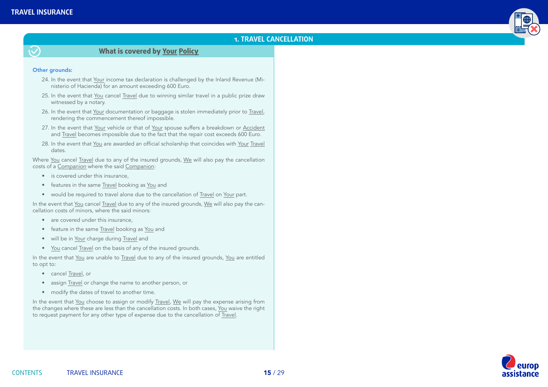

### **1. TRAVEL CANCELLATION**



### **What is covered by [Your](#page-8-0) [Policy](#page-9-0)**

#### Other grounds:

- 24. In the event that [Your](#page-8-0) income tax declaration is challenged by the Inland Revenue (Ministerio of Hacienda) for an amount exceeding 600 Euro.
- 25. In the event that [You](#page-8-0) cancel [Travel](#page-9-0) due to winning similar travel in a public prize draw witnessed by a notary.
- 26. In the event that [Your](#page-8-0) documentation or baggage is stolen immediately prior to [Travel](#page-9-0), rendering the commencement thereof impossible.
- 27. In the event that [Your](#page-8-0) vehicle or that of [Your](#page-8-0) spouse suffers a breakdown or [Accident](#page-8-0) and [Travel](#page-9-0) becomes impossible due to the fact that the repair cost exceeds 600 Euro.
- 28. In the event that [You](#page-8-0) are awarded an official scholarship that coincides with [Your](#page-8-0) [Travel](#page-9-0) dates.

Where [You](#page-8-0) cancel [Travel](#page-9-0) due to any of the insured grounds, [We](#page-8-0) will also pay the cancellation costs of a [Companion](#page-8-0) where the said [Companion](#page-8-0):

- is covered under this insurance,
- features in the same [Travel](#page-9-0) booking as [You](#page-8-0) and
- would be required to travel alone due to the cancellation of [Travel](#page-9-0) on [Your](#page-8-0) part.

In the event that [You](#page-8-0) cancel [Travel](#page-9-0) due to any of the insured grounds, [We](#page-8-0) will also pay the cancellation costs of minors, where the said minors:

- are covered under this insurance.
- feature in the same [Travel](#page-9-0) booking as [You](#page-8-0) and
- will be in [Your](#page-8-0) charge during [Travel](#page-9-0) and
- [You](#page-8-0) cancel [Travel](#page-9-0) on the basis of any of the insured grounds.

In the event that [You](#page-8-0) are unable to [Travel](#page-9-0) due to any of the insured grounds, [You](#page-8-0) are entitled to opt to:

- cancel [Travel](#page-9-0), or
- assign [Travel](#page-9-0) or change the name to another person, or
- modify the dates of travel to another time.

In the event that [You](#page-8-0) choose to assign or modify [Travel,](#page-9-0) [We](#page-8-0) will pay the expense arising from the changes where these are less than the cancellation costs. In both cases, [You](#page-8-0) waive the right to request payment for any other type of expense due to the cancellation of [Travel](#page-9-0).

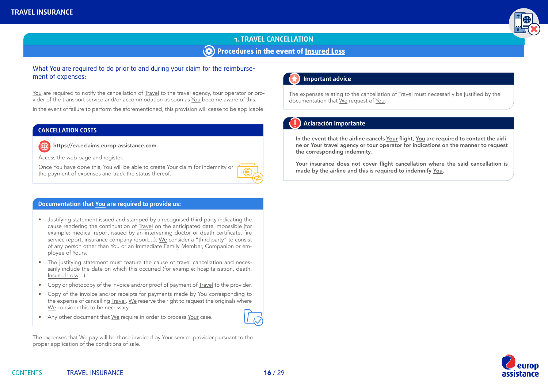

# **1. TRAVEL CANCELLATION Procedures in the event of [Insured Loss](#page-8-0)**

### What [You](#page-8-0) are required to do prior to and during your claim for the reimbursement of expenses:

[You](#page-8-0) are required to notify the cancellation of [Travel](#page-9-0) to the travel agency, tour operator or provider of the transport service and/or accommodation as soon as [You](#page-8-0) become aware of this.

In the event of failure to perform the aforementioned, this provision will cease to be applicable.

### **CANCELLATION COSTS**

https://ea.eclaims.europ-assistance.com

Access the web page and register.

Once [You](#page-8-0) have done this, [You](#page-8-0) will be able to create [Your](#page-8-0) claim for indemnity or the payment of expenses and track the status thereof.



#### **Documentation that [You](#page-8-0) are required to provide us:**

- Justifying statement issued and stamped by a recognised third-party indicating the cause rendering the continuation of [Travel](#page-9-0) on the anticipated date impossible (for example: medical report issued by an intervening doctor or death certificate, fire service report, insurance company report…). [We](#page-8-0) consider a "third party" to consist of any person other than [You](#page-8-0) or an [Immediate Family](#page-8-0) Member, [Companion](#page-8-0) or employee of Yours.
- The justifying statement must feature the cause of travel cancellation and necessarily include the date on which this occurred (for example: hospitalisation, death, [Insured Loss](#page-8-0)…).
- Copy or photocopy of the invoice and/or proof of payment of [Travel](#page-9-0) to the provider.
- Copy of the invoice and/or receipts for payments made by [You](#page-8-0) corresponding to the expense of cancelling [Travel](#page-9-0). [We](#page-8-0) reserve the right to request the originals where [We](#page-8-0) consider this to be necessary.
- Any other document that [We](#page-8-0) require in order to process [Your](#page-8-0) case.

The expenses that [We](#page-8-0) pay will be those invoiced by [Your](#page-8-0) service provider pursuant to the proper application of the conditions of sale.

# **Important advice**

The expenses relating to the cancellation of [Travel](#page-9-0) must necessarily be justified by the documentation that [We](#page-8-0) request of [You.](#page-8-0)

### **Aclaración Importante**

In the event that the airline cancels [Your](#page-8-0) flight, [You](#page-8-0) are required to contact the airline or [Your](#page-8-0) travel agency or tour operator for indications on the manner to request the corresponding indemnity.

[Your](#page-8-0) insurance does not cover flight cancellation where the said cancellation is made by the airline and this is required to indemnify [You](#page-8-0).

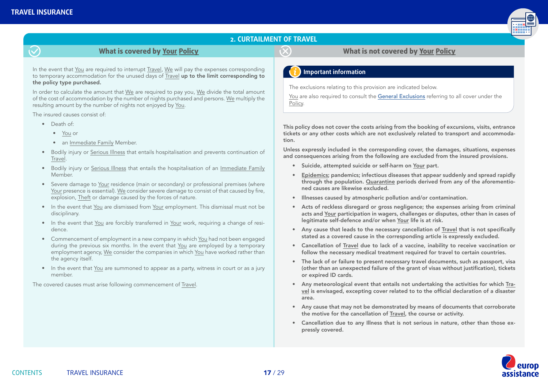

### **2. CURTAILMENT OF TRAVEL**

### **What is covered by [Your](#page-8-0) [Policy](#page-9-0) What is not covered by [Your](#page-8-0) [Policy](#page-9-0)**

<span id="page-16-0"></span>In the event that [You](#page-8-0) are required to interrupt [Travel](#page-9-0), [We](#page-8-0) will pay the expenses corresponding to temporary accommodation for the unused days of [Travel](#page-9-0) up to the limit corresponding to the policy type purchased.

In order to calculate the amount that [We](#page-8-0) are required to pay you, [We](#page-8-0) divide the total amount of the cost of accommodation by the number of nights purchased and persons. [We](#page-8-0) multiply the resulting amount by the number of nights not enjoyed by [You](#page-8-0).

The insured causes consist of:

- Death of:
	- [You](#page-8-0) or
	- an [Immediate Family](#page-8-0) Member.
- Bodily injury or [Serious Illness](#page-9-0) that entails hospitalisation and prevents continuation of [Travel.](#page-9-0)
- Bodily injury or [Serious Illness](#page-9-0) that entails the hospitalisation of an [Immediate Family](#page-8-0) Member.
- Severe damage to [Your](#page-8-0) residence (main or secondary) or professional premises (where [Your](#page-8-0) presence is essential). [We](#page-8-0) consider severe damage to consist of that caused by fire, explosion, [Theft](#page-9-0) or damage caused by the forces of nature.
- In the event that [You](#page-8-0) are dismissed from [Your](#page-8-0) employment. This dismissal must not be disciplinary.
- In the event that [You](#page-8-0) are forcibly transferred in [Your](#page-8-0) work, requiring a change of residence.
- Commencement of employment in a new company in which [You](#page-8-0) had not been engaged during the previous six months. In the event that [You](#page-8-0) are employed by a temporary employment agency, [We](#page-8-0) consider the companies in which [You](#page-8-0) have worked rather than the agency itself.
- In the event that [You](#page-8-0) are summoned to appear as a party, witness in court or as a jury member.

The covered causes must arise following commencement of [Travel](#page-9-0).

### **Important information**

The exclusions relating to this provision are indicated below.

[You](#page-8-0) are also required to consult the General Exclusions referring to all cover under the [Policy](#page-9-0).

This policy does not cover the costs arising from the booking of excursions, visits, entrance tickets or any other costs which are not exclusively related to transport and accommodation.

Unless expressly included in the corresponding cover, the damages, situations, expenses and consequences arising from the following are excluded from the insured provisions.

- Suicide, attempted suicide or self-harm on [Your](#page-8-0) part.
- [Epidemics;](#page-8-0) pandemics; infectious diseases that appear suddenly and spread rapidly through the population. [Quarantine](#page-9-0) periods derived from any of the aforementioned causes are likewise excluded.
- Illnesses caused by atmospheric pollution and/or contamination.
- Acts of reckless disregard or gross negligence; the expenses arising from criminal acts and [Your](#page-8-0) participation in wagers, challenges or disputes, other than in cases of legitimate self-defence and/or when [Your](#page-8-0) life is at risk.
- Any cause that leads to the necessary cancellation of [Travel](#page-9-0) that is not specifically stated as a covered cause in the corresponding article is expressly excluded.
- Cancellation of [Travel](#page-9-0) due to lack of a vaccine, inability to receive vaccination or follow the necessary medical treatment required for travel to certain countries.
- The lack of or failure to present necessary travel documents, such as passport, visa (other than an unexpected failure of the grant of visas without justification), tickets or expired ID cards.
- Any meteorological event that entails not undertaking the activities for which [Tra](#page-9-0)[vel](#page-9-0) is envisaged, excepting cover related to to the official declaration of a disaster area.
- Any cause that may not be demonstrated by means of documents that corroborate the motive for the cancellation of [Travel](#page-9-0), the course or activity.
- Cancellation due to any Illness that is not serious in nature, other than those expressly covered.

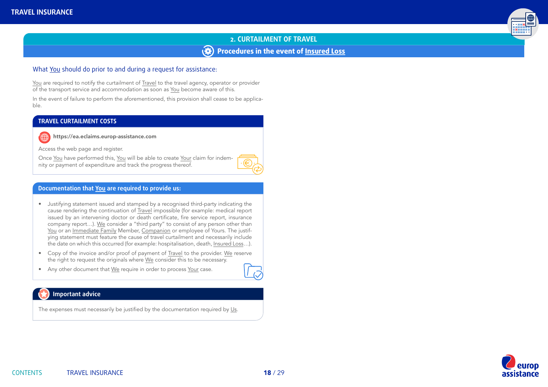# **2. CURTAILMENT OF TRAVEL Procedures in the event of [Insured Loss](#page-8-0)**

### What [You](#page-8-0) should do prior to and during a request for assistance:

[You](#page-8-0) are required to notify the curtailment of [Travel](#page-9-0) to the travel agency, operator or provider of the transport service and accommodation as soon as [You](#page-8-0) become aware of this.

In the event of failure to perform the aforementioned, this provision shall cease to be applicable.

#### **TRAVEL CURTAILMENT COSTS**

https://ea.eclaims.europ-assistance.com

Access the web page and register.

Once [You](#page-8-0) have performed this, [You](#page-8-0) will be able to create [Your](#page-8-0) claim for indemnity or payment of expenditure and track the progress thereof.

#### **Documentation that [You](#page-8-0) are required to provide us:**

- Justifying statement issued and stamped by a recognised third-party indicating the cause rendering the continuation of [Travel](#page-9-0) impossible (for example: medical report issued by an intervening doctor or death certificate, fire service report, insurance company report…). [We](#page-8-0) consider a "third party" to consist of any person other than [You](#page-8-0) or an [Immediate Family](#page-8-0) Member, [Companion](#page-8-0) or employee of Yours. The justifying statement must feature the cause of travel curtailment and necessarily include the date on which this occurred (for example: hospitalisation, death, [Insured Loss](#page-8-0)…).
- Copy of the invoice and/or proof of payment of [Travel](#page-9-0) to the provider. [We](#page-8-0) reserve the right to request the originals where [We](#page-8-0) consider this to be necessary.
- Any other document that [We](#page-8-0) require in order to process [Your](#page-8-0) case.



## **Important advice**

The expenses must necessarily be justified by the documentation required by [Us.](#page-8-0)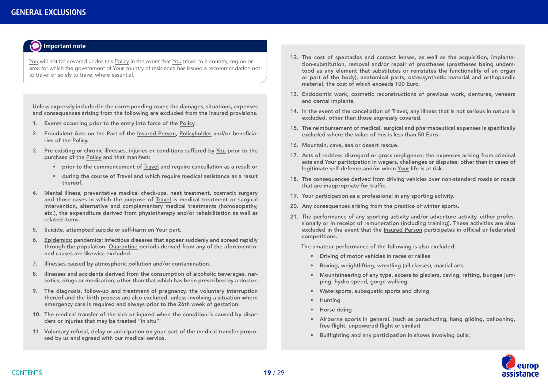<span id="page-18-0"></span>

[You](#page-8-0) will not be covered under this [Policy](#page-9-0) in the event that [You](#page-8-0) travel to a country, region or area for which the government of [Your](#page-8-0) country of residence has issued a recommendation not to travel or solely to travel where essential.

Unless expressly included in the corresponding cover, the damages, situations, expenses and consequences arising from the following are excluded from the insured provisions.

- 1. Events occurring prior to the entry into force of the [Policy](#page-9-0).
- 2. Fraudulent Acts on the Part of the [Insured Person](#page-8-0), [Policyholder](#page-9-0) and/or beneficiaries of the [Policy.](#page-9-0)
- 3. Pre-existing or chronic illnesses, injuries or conditions suffered by [You](#page-8-0) prior to the purchase of the [Policy](#page-9-0) and that manifest:
	- prior to the commencement of [Travel](#page-9-0) and require cancellation as a result or
	- during the course of [Travel](#page-9-0) and which require medical assistance as a result thereof.
- 4. Mental illness, preventative medical check-ups, heat treatment, cosmetic surgery and those cases in which the purpose of [Travel](#page-9-0) is medical treatment or surgical intervention, alternative and complementary medical treatments (homoeopathy, etc.), the expenditure derived from physiotherapy and/or rehabilitation as well as related items.
- 5. Suicide, attempted suicide or self-harm on [Your](#page-8-0) part.
- 6. [Epidemics;](#page-8-0) pandemics; infectious diseases that appear suddenly and spread rapidly through the population. [Quarantine](#page-9-0) periods derived from any of the aforementioned causes are likewise excluded.
- 7. Illnesses caused by atmospheric pollution and/or contamination.
- 8. Illnesses and accidents derived from the consumption of alcoholic beverages, narcotics, drugs or medication, other than that which has been prescribed by a doctor.
- 9. The diagnosis, follow-up and treatment of pregnancy, the voluntary interruption thereof and the birth process are also excluded, unless involving a situation where emergency care is required and always prior to the 26th week of gestation.
- 10. The medical transfer of the sick or injured when the condition is caused by disorders or injuries that may be treated "in situ".
- 11. Voluntary refusal, delay or anticipation on your part of the medical transfer proposed by us and agreed with our medical service.
- 12. The cost of spectacles and contact lenses, as well as the acquisition, implantation-substitution, removal and/or repair of prostheses (prostheses being understood as any element that substitutes or reinstates the functionality of an organ or part of the body), anatomical parts, osteosynthetic material and orthopaedic material, the cost of which exceeds 100 Euro.
- 13. Endodontic work, cosmetic reconstructions of previous work, dentures, veneers and dental implants.
- 14. In the event of the cancellation of [Travel](#page-9-0), any illness that is not serious in nature is excluded, other than those expressly covered.
- 15. The reimbursement of medical, surgical and pharmaceutical expenses is specifically excluded where the value of this is less than 50 Euro.
- 16. Mountain, cave, sea or desert rescue.
- 17. Acts of reckless disregard or gross negligence; the expenses arising from criminal acts and [Your](#page-8-0) participation in wagers, challenges or disputes, other than in cases of legitimate self-defence and/or when [Your](#page-8-0) life is at risk.
- 18. The consequences derived from driving vehicles over non-standard roads or roads that are inappropriate for traffic.
- 19. [Your](#page-8-0) participation as a professional in any sporting activity.
- 20. Any consequences arising from the practice of winter sports.
- 21. The performance of any sporting activity and/or adventure activity, either professionally or in receipt of remuneration (including training). These activities are also excluded in the event that the [Insured Person](#page-8-0) participates in official or federated competitions.

The amateur performance of the following is also excluded:

- Driving of motor vehicles in races or rallies
- Boxing, weightlifting, wrestling (all classes), martial arts
- Mountaineering of any type, access to glaciers, caving, rafting, bungee jumping, hydro speed, gorge walking
- Watersports, subaquatic sports and diving
- Hunting
- Horse riding
- Airborne sports in general. (such as parachuting, hang gliding, ballooning, free flight, unpowered flight or similar)
- Bullfighting and any participation in shows involving bulls;

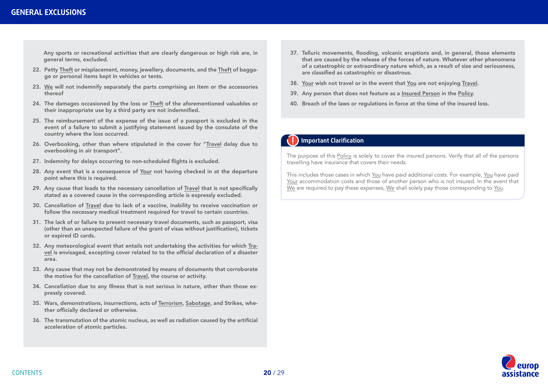### **GENERAL EXCLUSIONS**

Any sports or recreational activities that are clearly dangerous or high risk are, in general terms, excluded.

- 22. Petty [Theft](#page-9-0) or misplacement, money, jewellery, documents, and the [Theft](#page-9-0) of baggage or personal items kept in vehicles or tents.
- 23. [We](#page-8-0) will not indemnify separately the parts comprising an item or the accessories thereof
- 24. The damages occasioned by the loss or [Theft](#page-9-0) of the aforementioned valuables or their inappropriate use by a third party are not indemnified.
- 25. The reimbursement of the expense of the issue of a passport is excluded in the event of a failure to submit a justifying statement issued by the consulate of the country where the loss occurred.
- 26. Overbooking, other than where stipulated in the cover for "[Travel](#page-9-0) delay due to overbooking in air transport".
- 27. Indemnity for delays occurring to non-scheduled flights is excluded.
- 28. Any event that is a consequence of [Your](#page-8-0) not having checked in at the departure point where this is required.
- 29. Any cause that leads to the necessary cancellation of [Travel](#page-9-0) that is not specifically stated as a covered cause in the corresponding article is expressly excluded.
- 30. Cancellation of [Travel](#page-9-0) due to lack of a vaccine, inability to receive vaccination or follow the necessary medical treatment required for travel to certain countries.
- 31. The lack of or failure to present necessary travel documents, such as passport, visa (other than an unexpected failure of the grant of visas without justification), tickets or expired ID cards.
- 32. Any meteorological event that entails not undertaking the activities for which [Tra](#page-9-0)[vel](#page-9-0) is envisaged, excepting cover related to to the official declaration of a disaster area.
- 33. Any cause that may not be demonstrated by means of documents that corroborate the motive for the cancellation of [Travel,](#page-9-0) the course or activity.
- 34. Cancellation due to any Illness that is not serious in nature, other than those expressly covered.
- 35. Wars, demonstrations, insurrections, acts of [Terrorism](#page-9-0), [Sabotage](#page-9-0), and Strikes, whether officially declared or otherwise.
- 36. The transmutation of the atomic nucleus, as well as radiation caused by the artificial acceleration of atomic particles.
- 37. Telluric movements, flooding, volcanic eruptions and, in general, those elements that are caused by the release of the forces of nature. Whatever other phenomena of a catastrophic or extraordinary nature which, as a result of size and seriousness, are classified as catastrophic or disastrous.
- 38. [Your](#page-8-0) wish not travel or in the event that [You](#page-8-0) are not enjoying [Travel](#page-9-0).
- 39. Any person that does not feature as a [Insured Person](#page-8-0) in the [Policy](#page-9-0).
- 40. Breach of the laws or regulations in force at the time of the insured loss.

### **Important Clarification**

The purpose of this [Policy](#page-9-0) is solely to cover the insured persons. Verify that all of the persons travelling have insurance that covers their needs.

This includes those cases in which [You](#page-8-0) have paid additional costs. For example, [You](#page-8-0) have paid [Your](#page-8-0) accommodation costs and those of another person who is not insured. In the event that [We](#page-8-0) are required to pay these expenses, We shall solely pay those corresponding to [You.](#page-8-0)

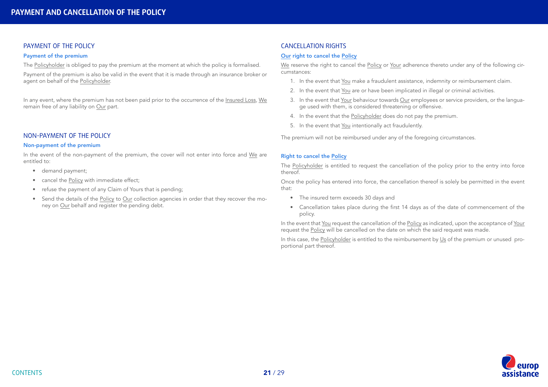#### <span id="page-20-0"></span>PAYMENT OF THE POLICY

#### Payment of the premium

The [Policyholder](#page-9-0) is obliged to pay the premium at the moment at which the policy is formalised.

Payment of the premium is also be valid in the event that it is made through an insurance broker or agent on behalf of the [Policyholder.](#page-9-0)

In any event, where the premium has not been paid prior to the occurrence of the [Insured Loss,](#page-8-0) [We](#page-8-0) remain free of any liability on [Our](#page-8-0) part.

### NON-PAYMENT OF THE POLICY

#### Non-payment of the premium

In the event of the non-payment of the premium, the cover will not enter into force and [We](#page-8-0) are entitled to:

- demand payment:
- cancel the [Policy](#page-9-0) with immediate effect;
- refuse the payment of any Claim of Yours that is pending;
- Send the details of the [Policy](#page-9-0) to [Our](#page-8-0) collection agencies in order that they recover the money on [Our](#page-8-0) behalf and register the pending debt.

### CANCELLATION RIGHTS

#### [Our](#page-8-0) right to cancel the [Policy](#page-9-0)

[We](#page-8-0) reserve the right to cancel the [Policy](#page-9-0) or [Your](#page-8-0) adherence thereto under any of the following circumstances:

- 1. In the event that [You](#page-8-0) make a fraudulent assistance, indemnity or reimbursement claim.
- 2. In the event that [You](#page-8-0) are or have been implicated in illegal or criminal activities.
- 3. In the event that [Your](#page-8-0) behaviour towards [Our](#page-8-0) employees or service providers, or the language used with them, is considered threatening or offensive.
- 4. In the event that the [Policyholder](#page-9-0) does do not pay the premium.
- 5. In the event that [You](#page-8-0) intentionally act fraudulently.

The premium will not be reimbursed under any of the foregoing circumstances.

#### Right to cancel the [Policy](#page-9-0)

The [Policyholder](#page-9-0) is entitled to request the cancellation of the policy prior to the entry into force thereof.

Once the policy has entered into force, the cancellation thereof is solely be permitted in the event that:

- The insured term exceeds 30 days and
- Cancellation takes place during the first 14 days as of the date of commencement of the policy.

In the event that [You](#page-8-0) request the cancellation of the [Policy](#page-9-0) as indicated, upon the acceptance of [Your](#page-8-0) request the [Policy](#page-9-0) will be cancelled on the date on which the said request was made.

In this case, the [Policyholder](#page-9-0) is entitled to the reimbursement by [Us](#page-8-0) of the premium or unused proportional part thereof.

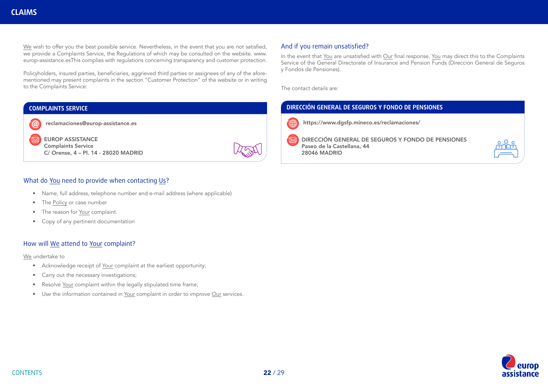<span id="page-21-0"></span>[We](#page-8-0) wish to offer you the best possible service. Nevertheless, in the event that you are not satisfied, we provide a Complaints Service, the Regulations of which may be consulted on the website. www. europ-assistance.esThis complies with regulations concerning transparency and customer protection.

Policyholders, insured parties, beneficiaries, aggrieved third parties or assignees of any of the aforementioned may present complaints in the section "Customer Protection" of the website or in writing to the Complaints Service:

### **COMPLAINTS SERVICE**



EUROP ASSISTANCE Complaints Service C/ Orense, 4 – Pl. 14 - 28020 MADRID

### What do [You](#page-8-0) need to provide when contacting [Us](#page-8-0)?

- Name, full address, telephone number and e-mail address (where applicable)
- The [Policy](#page-9-0) or case number
- The reason for [Your](#page-8-0) complaint.
- Copy of any pertinent documentation

#### How will [We](#page-8-0) attend to [Your](#page-8-0) complaint?

[We](#page-8-0) undertake to

- Acknowledge receipt of [Your](#page-8-0) complaint at the earliest opportunity;
- Carry out the necessary investigations;
- Resolve [Your](#page-8-0) complaint within the legally stipulated time frame;
- Use the information contained in [Your](#page-8-0) complaint in order to improve [Our](#page-8-0) services.

### And if you remain unsatisfied?

In the event that [You](#page-8-0) are unsatisfied with [Our](#page-8-0) final response, [You](#page-8-0) may direct this to the Complaints Service of the General Directorate of Insurance and Pension Funds (Dirección General de Seguros y Fondos de Pensiones).

The contact details are:

### **DIRECCIÓN GENERAL DE SEGUROS Y FONDO DE PENSIONES**



https://www.dgsfp.mineco.es/reclamaciones/

DIRECCIÓN GENERAL DE SEGUROS Y FONDO DE PENSIONES Paseo de la Castellana, 44 28046 MADRID



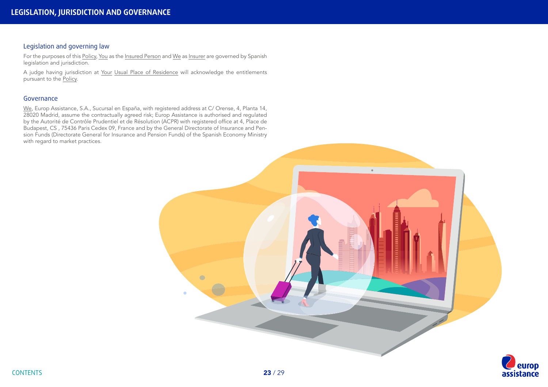### <span id="page-22-0"></span>Legislation and governing law

For the purposes of this [Policy,](#page-9-0) [You](#page-8-0) as the [Insured Person](#page-8-0) and [We](#page-8-0) as [Insurer](#page-8-0) are governed by Spanish legislation and jurisdiction.

A judge having jurisdiction at [Your](#page-8-0) [Usual Place of Residence](#page-9-0) will acknowledge the entitlements pursuant to the [Policy.](#page-9-0)

#### Governance

[We,](#page-8-0) Europ Assistance, S.A., Sucursal en España, with registered address at C/ Orense, 4, Planta 14, 28020 Madrid, assume the contractually agreed risk; Europ Assistance is authorised and regulated by the Autorité de Contrôle Prudentiel et de Résolution (ACPR) with registered office at 4, Place de Budapest, CS , 75436 Paris Cedex 09, France and by the General Directorate of Insurance and Pension Funds (Directorate General for Insurance and Pension Funds) of the Spanish Economy Ministry with regard to market practices.



**rop** 

assistance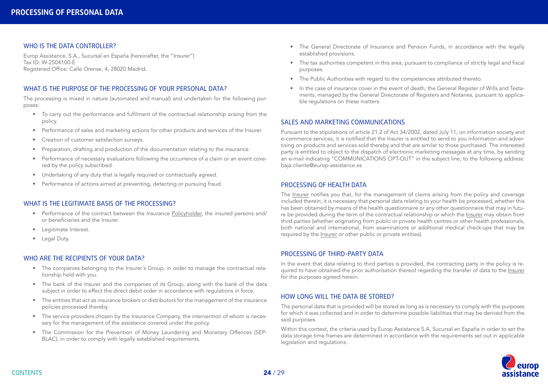#### <span id="page-23-0"></span>WHO IS THE DATA CONTROLLER?

Europ Assistance, S.A., Sucursal en España (hereinafter, the "Insurer") Tax ID: W-2504100-E Registered Office: Calle Orense, 4, 28020 Madrid.

### WHAT IS THE PURPOSE OF THE PROCESSING OF YOUR PERSONAL DATA?

The processing is mixed in nature (automated and manual) and undertaken for the following purposes:

- To carry out the performance and fulfilment of the contractual relationship arising from the policy.
- Performance of sales and marketing actions for other products and services of the Insurer.
- Creation of customer satisfaction surveys.
- Preparation, drafting and production of the documentation relating to the insurance.
- Performance of necessary evaluations following the occurrence of a claim or an event covered by the policy subscribed.
- Undertaking of any duty that is legally required or contractually agreed.
- Performance of actions aimed at preventing, detecting or pursuing fraud.

#### WHAT IS THE LEGITIMATE BASIS OF THE PROCESSING?

- Performance of the contract between the Insurance [Policyholder,](#page-9-0) the insured persons and/ or beneficiaries and the Insurer.
- Legitimate Interest.
- Legal Duty.

#### WHO ARE THE RECIPIENTS OF YOUR DATA?

- The companies belonging to the Insurer´s Group, in order to manage the contractual relationship held with you.
- The bank of the Insurer and the companies of its Group, along with the bank of the data subject in order to effect the direct debit order in accordance with regulations in force.
- The entities that act as insurance brokers or distributors for the management of the insurance policies processed thereby.
- The service providers chosen by the Insurance Company, the intervention of whom is necessary for the management of the assistance covered under the policy.
- The Commission for the Prevention of Money Laundering and Monetary Offences (SEP-BLAC), in order to comply with legally established requirements.
- The General Directorate of Insurance and Pension Funds, in accordance with the legally established provisions.
- The tax authorities competent in this area, pursuant to compliance of strictly legal and fiscal purposes.
- The Public Authorities with regard to the competencies attributed thereto.
- In the case of insurance cover in the event of death, the General Register of Wills and Testaments, managed by the General Directorate of Registers and Notaries, pursuant to applicable regulations on these matters.

#### SALES AND MARKETING COMMUNICATIONS

Pursuant to the stipulations of article 21.2 of Act 34/2002, dated July 11, on information society and e-commerce services, it is notified that the Insurer is entitled to send to you information and advertising on products and services sold thereby and that are similar to those purchased. The interested party is entitled to object to the dispatch of electronic marketing messages at any time, by sending an e-mail indicating "COMMUNICATIONS OPT-OUT" in the subject line, to the following address: baja.cliente@europ-assistance.es

#### PROCESSING OF HEALTH DATA

The [Insurer](#page-8-0) notifies you that, for the management of claims arising from the policy and coverage included therein, it is necessary that personal data relating to your health be processed, whether this has been obtained by means of the health questionnaire or any other questionnaire that may in future be provided during the term of the contractual relationship or which the [Insurer](#page-8-0) may obtain from third parties (whether originating from public or private health centres or other health professionals, both national and international, from examinations or additional medical check-ups that may be required by the [Insurer](#page-8-0) or other public or private entities).

#### PROCESSING OF THIRD-PARTY DATA

In the event that data relating to third parties is provided, the contracting party in the policy is required to have obtained the prior authorisation thereof regarding the transfer of data to the [Insurer](#page-8-0) for the purposes agreed herein.

#### HOW LONG WILL THE DATA BE STORED?

The personal data that is provided will be stored as long as is necessary to comply with the purposes for which it was collected and in order to determine possible liabilities that may be derived from the said purposes.

Within this context, the criteria used by Europ Assistance S.A, Sucursal en España in order to set the data storage time frames are determined in accordance with the requirements set out in applicable legislation and regulations.

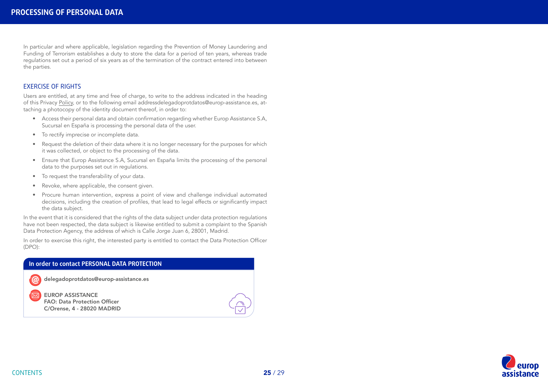In particular and where applicable, legislation regarding the Prevention of Money Laundering and Funding of Terrorism establishes a duty to store the data for a period of ten years, whereas trade regulations set out a period of six years as of the termination of the contract entered into between the parties.

#### EXERCISE OF RIGHTS

Users are entitled, at any time and free of charge, to write to the address indicated in the heading of this Privacy [Policy,](#page-9-0) or to the following email addressdelegadoprotdatos@europ-assistance.es, attaching a photocopy of the identity document thereof, in order to:

- Access their personal data and obtain confirmation regarding whether Europ Assistance S.A, Sucursal en España is processing the personal data of the user.
- To rectify imprecise or incomplete data.
- Request the deletion of their data where it is no longer necessary for the purposes for which it was collected, or object to the processing of the data.
- Ensure that Europ Assistance S.A, Sucursal en España limits the processing of the personal data to the purposes set out in regulations.
- To request the transferability of your data.
- Revoke, where applicable, the consent given.
- Procure human intervention, express a point of view and challenge individual automated decisions, including the creation of profiles, that lead to legal effects or significantly impact the data subject.

In the event that it is considered that the rights of the data subject under data protection regulations have not been respected, the data subject is likewise entitled to submit a complaint to the Spanish Data Protection Agency, the address of which is Calle Jorge Juan 6, 28001, Madrid.

In order to exercise this right, the interested party is entitled to contact the Data Protection Officer (DPO):

#### **In order to contact PERSONAL DATA PROTECTION**

delegadoprotdatos@europ-assistance.es

EUROP ASSISTANCE FAO: Data Protection Officer C/Orense, 4 - 28020 MADRID





 $\overline{\bowtie}$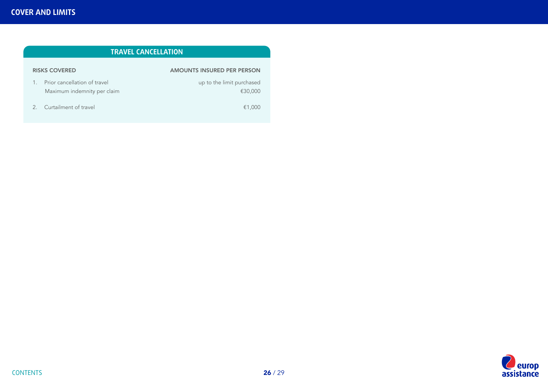<span id="page-25-0"></span>

| TRAVEL CANCELLATION                                         |                                      |  |  |
|-------------------------------------------------------------|--------------------------------------|--|--|
| <b>RISKS COVERED</b>                                        | <b>AMOUNTS INSURED PER PERSON</b>    |  |  |
| Prior cancellation of travel<br>Maximum indemnity per claim | up to the limit purchased<br>€30,000 |  |  |
| Curtailment of travel<br>2                                  | €1,000                               |  |  |

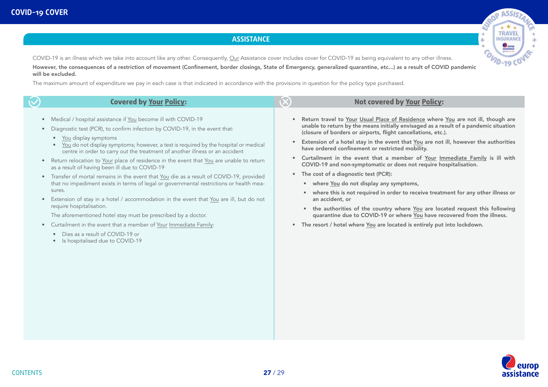#### ale ASS **TRAVEL INSURANCE** ÷ ä G  $40 - 19$  CO

### **ASSISTANCE**

<span id="page-26-0"></span>COVID-19 is an illness which we take into account like any other. Consequently, [Our](#page-8-0) Assistance cover includes cover for COVID-19 as being equivalent to any other illness.

However, the consequences of a restriction of movement (Confinement, border closings, State of Emergency, generalized quarantine, etc...) as a result of COVID pandemic will be excluded.

The maximum amount of expenditure we pay in each case is that indicated in accordance with the provisions in question for the policy type purchased.

| Medical / hospital assistance if You become ill with COVID-19<br>Return travel to Your Usual Place of Residence where You are not ill, though are<br>unable to return by the means initially envisaged as a result of a pandemic situation<br>Diagnostic test (PCR), to confirm infection by COVID-19, in the event that:<br>(closure of borders or airports, flight cancellations, etc.).<br>You display symptoms<br>$\bullet$<br>Extension of a hotel stay in the event that You are not ill, however the authorities<br>You do not display symptoms; however, a test is required by the hospital or medical<br>have ordered confinement or restricted mobility.                                                                                                                                                                                                                                                                                                                                                                                                                                                                                                                                                                                                | <b>Covered by Your Policy:</b>                                               |  |
|-------------------------------------------------------------------------------------------------------------------------------------------------------------------------------------------------------------------------------------------------------------------------------------------------------------------------------------------------------------------------------------------------------------------------------------------------------------------------------------------------------------------------------------------------------------------------------------------------------------------------------------------------------------------------------------------------------------------------------------------------------------------------------------------------------------------------------------------------------------------------------------------------------------------------------------------------------------------------------------------------------------------------------------------------------------------------------------------------------------------------------------------------------------------------------------------------------------------------------------------------------------------|------------------------------------------------------------------------------|--|
| Curtailment in the event that a member of Your Immediate Family is ill with<br>Return relocation to Your place of residence in the event that You are unable to return<br>COVID-19 and non-symptomatic or does not require hospitalisation.<br>as a result of having been ill due to COVID-19<br>• The cost of a diagnostic test (PCR):<br>Transfer of mortal remains in the event that You die as a result of COVID-19, provided<br>that no impediment exists in terms of legal or governmental restrictions or health mea-<br>• where You do not display any symptoms,<br>sures.<br>where this is not required in order to receive treatment for any other illness or<br>Extension of stay in a hotel / accommodation in the event that You are ill, but do not<br>an accident, or<br>require hospitalisation.<br>the authorities of the country where You are located request this following<br>quarantine due to COVID-19 or where You have recovered from the illness.<br>The aforementioned hotel stay must be prescribed by a doctor.<br>Curtailment in the event that a member of Your Immediate Family:<br>The resort / hotel where You are located is entirely put into lockdown.<br>Dies as a result of COVID-19 or<br>Is hospitalised due to COVID-19 | centre in order to carry out the treatment of another illness or an accident |  |

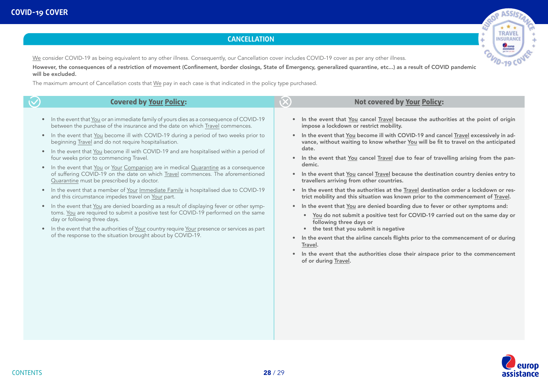### **CANCELLATION**

[We](#page-8-0) consider COVID-19 as being equivalent to any other illness. Consequently, our Cancellation cover includes COVID-19 cover as per any other illness.

<u>We</u> consider COVID-19 as being equivalent to any other illness. Consequently, our Cancellation cover includes COVID-19 cover as per any other illness.<br>However, the consequences of a restriction of movement (Confinement, will be excluded.

The maximum amount of Cancellation costs that [We](#page-8-0) pay in each case is that indicated in the policy type purchased.

|                                                                                         | <b>Covered by Your Policy:</b>                                                                                                                                                                                                                                                                                                                                                                                                                                                                                                                                                                                                                                                                                                                                                                                                                                                                                                                                                                                                                                                                                                                                                                                    |                        | <b>Not covered by Your Policy:</b>                                                                                                                                                                                                                                                                                                                                                                                                                                                                                                                                                                                                                                                                                                                                                                                                                                                                                                                                                                                                                                                                                                                                                            |
|-----------------------------------------------------------------------------------------|-------------------------------------------------------------------------------------------------------------------------------------------------------------------------------------------------------------------------------------------------------------------------------------------------------------------------------------------------------------------------------------------------------------------------------------------------------------------------------------------------------------------------------------------------------------------------------------------------------------------------------------------------------------------------------------------------------------------------------------------------------------------------------------------------------------------------------------------------------------------------------------------------------------------------------------------------------------------------------------------------------------------------------------------------------------------------------------------------------------------------------------------------------------------------------------------------------------------|------------------------|-----------------------------------------------------------------------------------------------------------------------------------------------------------------------------------------------------------------------------------------------------------------------------------------------------------------------------------------------------------------------------------------------------------------------------------------------------------------------------------------------------------------------------------------------------------------------------------------------------------------------------------------------------------------------------------------------------------------------------------------------------------------------------------------------------------------------------------------------------------------------------------------------------------------------------------------------------------------------------------------------------------------------------------------------------------------------------------------------------------------------------------------------------------------------------------------------|
| $\bullet$<br>$\bullet$<br>$\bullet$<br>$\bullet$<br>$\bullet$<br>$\bullet$<br>$\bullet$ | In the event that You or an immediate family of yours dies as a consequence of COVID-19<br>between the purchase of the insurance and the date on which Travel commences.<br>In the event that You become ill with COVID-19 during a period of two weeks prior to<br>beginning Travel and do not require hospitalisation.<br>In the event that You become ill with COVID-19 and are hospitalised within a period of<br>four weeks prior to commencing Travel.<br>In the event that You or Your Companion are in medical Quarantine as a consequence<br>of suffering COVID-19 on the date on which Travel commences. The aforementioned<br>Quarantine must be prescribed by a doctor.<br>In the event that a member of Your Immediate Family is hospitalised due to COVID-19<br>and this circumstance impedes travel on Your part.<br>In the event that You are denied boarding as a result of displaying fever or other symp-<br>toms. You are required to submit a positive test for COVID-19 performed on the same<br>day or following three days.<br>In the event that the authorities of Your country require Your presence or services as part<br>of the response to the situation brought about by COVID-19. | $\bullet$<br>$\bullet$ | In the event that You cancel Travel because the authorities at the point of origin<br>impose a lockdown or restrict mobility.<br>In the event that You become ill with COVID-19 and cancel Travel excessively in ad-<br>vance, without waiting to know whether You will be fit to travel on the anticipated<br>date.<br>In the event that You cancel Travel due to fear of travelling arising from the pan-<br>demic.<br>In the event that You cancel Travel because the destination country denies entry to<br>travellers arriving from other countries.<br>In the event that the authorities at the Travel destination order a lockdown or res-<br>trict mobility and this situation was known prior to the commencement of Travel.<br>In the event that You are denied boarding due to fever or other symptoms and:<br>. You do not submit a positive test for COVID-19 carried out on the same day or<br>following three days or<br>• the test that you submit is negative<br>In the event that the airline cancels flights prior to the commencement of or during<br>Travel.<br>In the event that the authorities close their airspace prior to the commencement<br>of or during Travel. |



ROP ASSI ß. **TRAVEL INSURANCE** ÷ ä